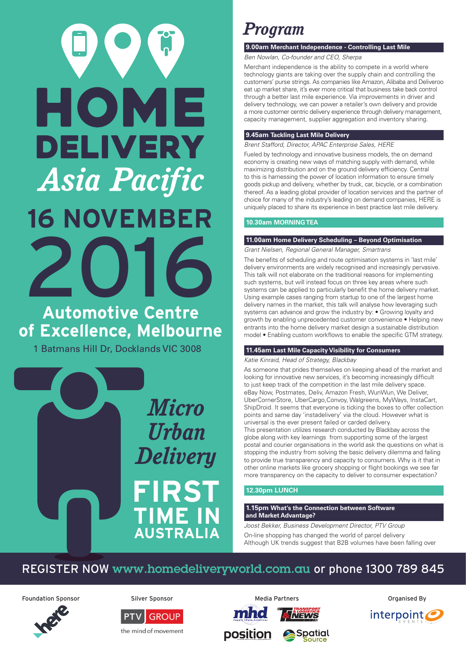# HOME **DELIVERY Asia Pacific 16 NOVEMBER** 2016

## **Automotive Centre of Excellence, Melbourne**

1 Batmans Hill Dr, Docklands VIC 3008



# *Program*

#### **9.00am Merchant Independence - Controlling Last Mile**

*Ben Nowlan, Co-founder and CEO, Sherpa*

Merchant independence is the ability to compete in a world where technology giants are taking over the supply chain and controlling the customers' purse strings. As companies like Amazon, Alibaba and Deliveroo eat up market share, it's ever more critical that business take back control through a better last mile experience. Via improvements in driver and delivery technology, we can power a retailer's own delivery and provide a more customer centric delivery experience through delivery management, capacity management, supplier aggregation and inventory sharing.

#### **9.45am Tackling Last Mile Delivery**

*Brent Stafford, Director, APAC Enterprise Sales, HERE*

Fueled by technology and innovative business models, the on demand economy is creating new ways of matching supply with demand, while maximizing distribution and on the ground delivery efficiency. Central to this is harnessing the power of location information to ensure timely goods pickup and delivery, whether by truck, car, bicycle, or a combination thereof. As a leading global provider of location services and the partner of choice for many of the industry's leading on demand companies, HERE is uniquely placed to share its experience in best practice last mile delivery.

### **10.30am MORNING TEA**

 $\overline{a}$ 

#### **11.00am Home Delivery Scheduling – Beyond Optimisation**

*Grant Nielsen, Regional General Manager, Smartrans*

The benefits of scheduling and route optimisation systems in 'last mile' delivery environments are widely recognised and increasingly pervasive. This talk will not elaborate on the traditional reasons for implementing such systems, but will instead focus on three key areas where such systems can be applied to particularly benefit the home delivery market. Using example cases ranging from startup to one of the largest home delivery names in the market, this talk will analyse how leveraging such systems can advance and grow the industry by: • Growing loyalty and growth by enabling unprecedented customer convenience • Helping new entrants into the home delivery market design a sustainable distribution model • Enabling custom workflows to enable the specific GTM strategy.

#### **11.45am Last Mile Capacity Visibility for Consumers**

#### *Katie Kinraid, Head of Strategy, Blackbay*

As someone that prides themselves on keeping ahead of the market and looking for innovative new services, it's becoming increasingly difficult to just keep track of the competition in the last mile delivery space. eBay Now, Postmates, Deliv, Amazon Fresh, WunWun, We Deliver, UberCornerStore, UberCargo,Convoy, Walgreens, MyWays, InstaCart, ShipDroid. It seems that everyone is ticking the boxes to offer collection points and same day 'instadelivery' via the cloud. However what is universal is the ever present failed or carded delivery.

This presentation utilizes research conducted by Blackbay across the globe along with key learnings from supporting some of the largest postal and courier organisations in the world ask the questions on what is stopping the industry from solving the basic delivery dilemma and failing to provide true transparency and capacity to consumers. Why is it that in other online markets like grocery shopping or flight bookings we see far more transparency on the capacity to deliver to consumer expectation?

## **12.30pm LUNCH**

#### **1.15pm What's the Connection between Software and Market Advantage?**

**Spatial** 

*Joost Bekker, Business Development Director, PTV Group*

On-line shopping has changed the world of parcel delivery Although UK trends suggest that B2B volumes have been falling over

## REGISTER NOW www.homedeliveryworld.com.au or phone 1300 789 845

 $\bullet$ 

Foundation Sponsor **Silver Sponsor** Silver Sponsor Media Partners **Media Communist System** Craanised By